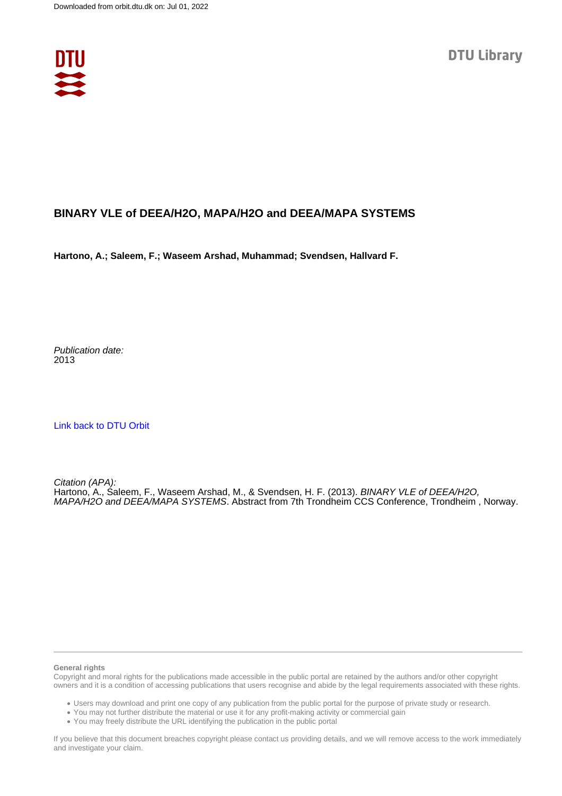

## **BINARY VLE of DEEA/H2O, MAPA/H2O and DEEA/MAPA SYSTEMS**

**Hartono, A.; Saleem, F.; Waseem Arshad, Muhammad; Svendsen, Hallvard F.**

Publication date: 2013

[Link back to DTU Orbit](https://orbit.dtu.dk/en/publications/3970ef79-92f2-42c7-a95e-fd506356f705)

Citation (APA): Hartono, A., Saleem, F., Waseem Arshad, M., & Svendsen, H. F. (2013). BINARY VLE of DEEA/H2O, MAPA/H2O and DEEA/MAPA SYSTEMS. Abstract from 7th Trondheim CCS Conference, Trondheim, Norway.

#### **General rights**

Copyright and moral rights for the publications made accessible in the public portal are retained by the authors and/or other copyright owners and it is a condition of accessing publications that users recognise and abide by the legal requirements associated with these rights.

Users may download and print one copy of any publication from the public portal for the purpose of private study or research.

- You may not further distribute the material or use it for any profit-making activity or commercial gain
- You may freely distribute the URL identifying the publication in the public portal

If you believe that this document breaches copyright please contact us providing details, and we will remove access to the work immediately and investigate your claim.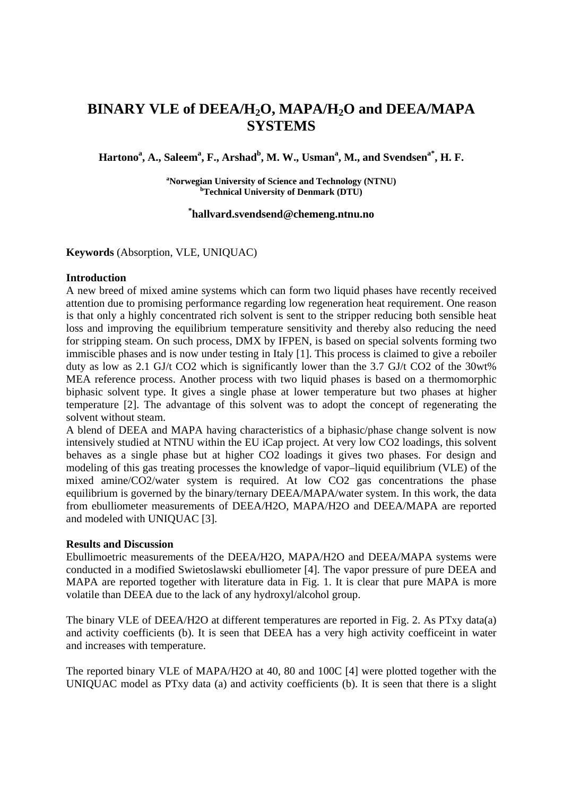# BINARY VLE of DEEA/H<sub>2</sub>O, MAPA/H<sub>2</sub>O and DEEA/MAPA **SYSTEMS**

Hartono<sup>a</sup>, A., Saleem<sup>a</sup>, F., Arshad<sup>b</sup>, M. W., Usman<sup>a</sup>, M., and Svendsen<sup>a\*</sup>, H. F.

<sup>a</sup> Norwegian University of Science and Technology (NTNU) **Technical University of Denmark (DTU)** 

**\* hallvard.svendsend@chemeng.ntnu.no** 

**Keywords** (Absorption, VLE, UNIQUAC)

#### **Introduction**

A new breed of mixed amine systems which can form two liquid phases have recently received attention due to promising performance regarding low regeneration heat requirement. One reason is that only a highly concentrated rich solvent is sent to the stripper reducing both sensible heat loss and improving the equilibrium temperature sensitivity and thereby also reducing the need for stripping steam. On such process, DMX by IFPEN, is based on special solvents forming two immiscible phases and is now under testing in Italy [1]. This process is claimed to give a reboiler duty as low as 2.1 GJ/t CO2 which is significantly lower than the 3.7 GJ/t CO2 of the 30wt% MEA reference process. Another process with two liquid phases is based on a thermomorphic biphasic solvent type. It gives a single phase at lower temperature but two phases at higher temperature [2]. The advantage of this solvent was to adopt the concept of regenerating the solvent without steam.

A blend of DEEA and MAPA having characteristics of a biphasic/phase change solvent is now intensively studied at NTNU within the EU iCap project. At very low CO2 loadings, this solvent behaves as a single phase but at higher CO2 loadings it gives two phases. For design and modeling of this gas treating processes the knowledge of vapor–liquid equilibrium (VLE) of the mixed amine/CO2/water system is required. At low CO2 gas concentrations the phase equilibrium is governed by the binary/ternary DEEA/MAPA/water system. In this work, the data from ebulliometer measurements of DEEA/H2O, MAPA/H2O and DEEA/MAPA are reported and modeled with UNIQUAC [3].

### **Results and Discussion**

Ebullimoetric measurements of the DEEA/H2O, MAPA/H2O and DEEA/MAPA systems were conducted in a modified Swietoslawski ebulliometer [4]. The vapor pressure of pure DEEA and MAPA are reported together with literature data in Fig. 1. It is clear that pure MAPA is more volatile than DEEA due to the lack of any hydroxyl/alcohol group.

The binary VLE of DEEA/H2O at different temperatures are reported in Fig. 2. As PTxy data(a) and activity coefficients (b). It is seen that DEEA has a very high activity coefficeint in water and increases with temperature.

The reported binary VLE of MAPA/H2O at 40, 80 and 100C [4] were plotted together with the UNIQUAC model as PTxy data (a) and activity coefficients (b). It is seen that there is a slight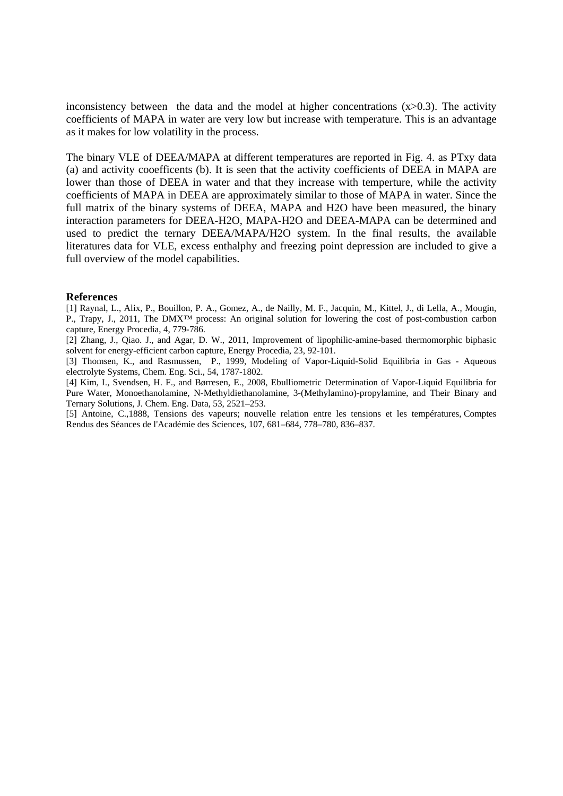inconsistency between the data and the model at higher concentrations  $(x>0.3)$ . The activity coefficients of MAPA in water are very low but increase with temperature. This is an advantage as it makes for low volatility in the process.

The binary VLE of DEEA/MAPA at different temperatures are reported in Fig. 4. as PTxy data (a) and activity cooefficents (b). It is seen that the activity coefficients of DEEA in MAPA are lower than those of DEEA in water and that they increase with temperture, while the activity coefficients of MAPA in DEEA are approximately similar to those of MAPA in water. Since the full matrix of the binary systems of DEEA, MAPA and H2O have been measured, the binary interaction parameters for DEEA-H2O, MAPA-H2O and DEEA-MAPA can be determined and used to predict the ternary DEEA/MAPA/H2O system. In the final results, the available literatures data for VLE, excess enthalphy and freezing point depression are included to give a full overview of the model capabilities.

#### **References**

[1] Raynal, L., Alix, P., Bouillon, P. A., Gomez, A., de Nailly, M. F., Jacquin, M., Kittel, J., di Lella, A., Mougin, P., Trapy, J., 2011, The DMX<sup>™</sup> process: An original solution for lowering the cost of post-combustion carbon capture, Energy Procedia, 4, 779-786.

[2] Zhang, J., Qiao. J., and Agar, D. W., 2011, Improvement of lipophilic-amine-based thermomorphic biphasic solvent for energy-efficient carbon capture, Energy Procedia, 23, 92-101.

[3] Thomsen, K., and Rasmussen, P., 1999, Modeling of Vapor-Liquid-Solid Equilibria in Gas - Aqueous electrolyte Systems, Chem. Eng. Sci., 54, 1787-1802.

[4] Kim, I., Svendsen, H. F., and Børresen, E., 2008, Ebulliometric Determination of Vapor-Liquid Equilibria for Pure Water, Monoethanolamine, N-Methyldiethanolamine, 3-(Methylamino)-propylamine, and Their Binary and Ternary Solutions, J. Chem. Eng. Data, 53, 2521–253.

[5] Antoine, C.,1888, Tensions des vapeurs; nouvelle relation entre les tensions et les températures, Comptes Rendus des Séances de l'Académie des Sciences, 107, 681–684, 778–780, 836–837.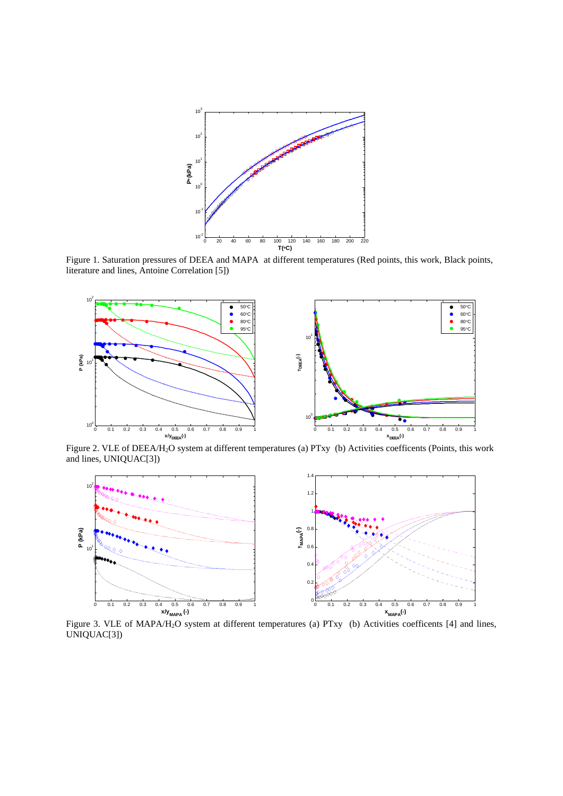

Figure 1. Saturation pressures of DEEA and MAPA at different temperatures (Red points, this work, Black points, literature and lines, Antoine Correlation [5])



Figure 2. VLE of DEEA/H2O system at different temperatures (a) PTxy (b) Activities coefficents (Points, this work and lines, UNIQUAC[3])



Figure 3. VLE of MAPA/H<sub>2</sub>O system at different temperatures (a) PTxy (b) Activities coefficents [4] and lines, UNIQUAC[3])